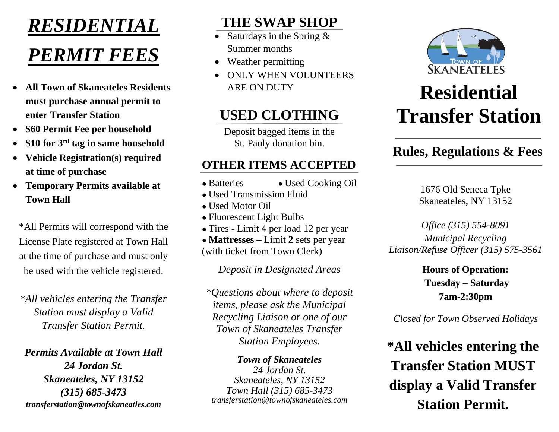# *RESIDENTIAL*

# *PERMIT FEES*

- **All Town of Skaneateles Residents must purchase annual permit to enter Transfer Station**
- **\$60 Permit Fee per household**
- **\$10 for 3 rd tag in same household**
- **Vehicle Registration(s) required at time of purchase**
- **Temporary Permits available at Town Hall**

\*All Permits will correspond with the License Plate registered at Town Hall at the time of purchase and must only be used with the vehicle registered.

*\*All vehicles entering the Transfer Station must display a Valid Transfer Station Permit.* 

*Permits Available at Town Hall 24 Jordan St. Skaneateles, NY 13152 (315) 685-3473 transferstation@townofskaneatles.com*

## **THE SWAP SHOP**

- Saturdays in the Spring & Summer months
- Weather permitting
- ONLY WHEN VOLUNTEERS ARE ON DUTY

### **USED CLOTHING**

Deposit bagged items in the St. Pauly donation bin.

### **OTHER ITEMS ACCEPTED**

- Batteries Used Cooking Oil
- Used Transmission Fluid
- Used Motor Oil
- Fluorescent Light Bulbs
- Tires **-** Limit 4 per load 12 per year

● **Mattresses –** Limit **2** sets per year (with ticket from Town Clerk)

*Deposit in Designated Areas*

*\*Questions about where to deposit items, please ask the Municipal Recycling Liaison or one of our Town of Skaneateles Transfer Station Employees.*

*Town of Skaneateles 24 Jordan St. Skaneateles, NY 13152 Town Hall (315) 685-3473 transferstation@townofskaneateles.com*



# **Residential Transfer Station**

### **Rules, Regulations & Fees**

1676 Old Seneca Tpke Skaneateles, NY 13152

*Office (315) 554-8091 Municipal Recycling Liaison/Refuse Officer (315) 575-3561*

> **Hours of Operation: Tuesday – Saturday 7am-2:30pm**

*Closed for Town Observed Holidays*

**\*All vehicles entering the Transfer Station MUST display a Valid Transfer Station Permit.**